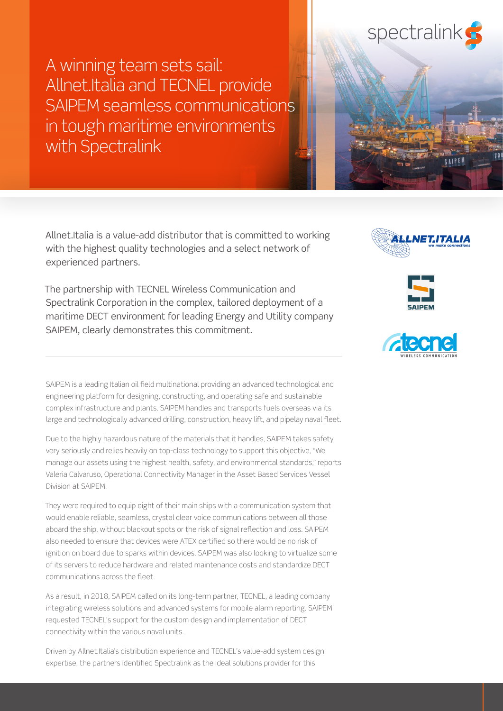A winning team sets sail: Allnet.Italia and TECNEL provide SAIPEM seamless communications in tough maritime environments with Spectralink

Allnet.Italia is a value-add distributor that is committed to working with the highest quality technologies and a select network of experienced partners.

The partnership with TECNEL Wireless Communication and Spectralink Corporation in the complex, tailored deployment of a maritime DECT environment for leading Energy and Utility company SAIPEM, clearly demonstrates this commitment.

SAIPEM is a leading Italian oil field multinational providing an advanced technological and engineering platform for designing, constructing, and operating safe and sustainable complex infrastructure and plants. SAIPEM handles and transports fuels overseas via its large and technologically advanced drilling, construction, heavy lift, and pipelay naval fleet.

Due to the highly hazardous nature of the materials that it handles, SAIPEM takes safety very seriously and relies heavily on top-class technology to support this objective, "We manage our assets using the highest health, safety, and environmental standards," reports Valeria Calvaruso, Operational Connectivity Manager in the Asset Based Services Vessel Division at SAIPEM.

They were required to equip eight of their main ships with a communication system that would enable reliable, seamless, crystal clear voice communications between all those aboard the ship, without blackout spots or the risk of signal reflection and loss. SAIPEM also needed to ensure that devices were ATEX certified so there would be no risk of ignition on board due to sparks within devices. SAIPEM was also looking to virtualize some of its servers to reduce hardware and related maintenance costs and standardize DECT communications across the fleet.

As a result, in 2018, SAIPEM called on its long-term partner, TECNEL, a leading company integrating wireless solutions and advanced systems for mobile alarm reporting. SAIPEM requested TECNEL's support for the custom design and implementation of DECT connectivity within the various naval units.

Driven by Allnet.Italia's distribution experience and TECNEL's value-add system design expertise, the partners identified Spectralink as the ideal solutions provider for this